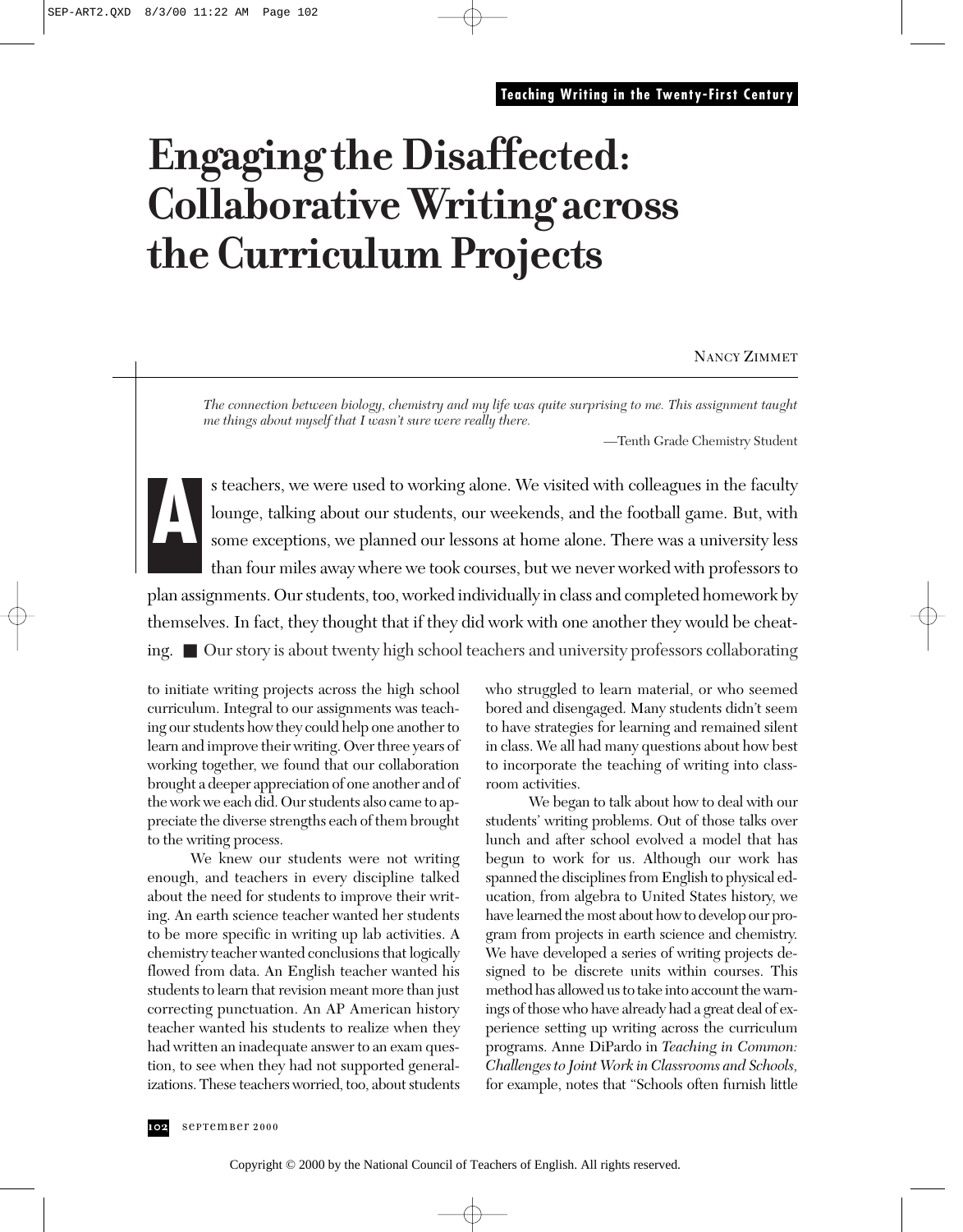# **Engaging the Disaffected: Collaborative Writing across the Curriculum Projects**

## NANCY ZIMMET

*The connection between biology, chemistry and my life was quite surprising to me. This assignment taught me things about myself that I wasn't sure were really there.*

—Tenth Grade Chemistry Student



s teachers, we were used to working alone. We visited with colleagues in the faculty lounge, talking about our students, our weekends, and the football game. But, with some exceptions, we planned our lessons at home alone. There was a university less than four miles away where we took courses, but we never worked with professors to

plan assignments. Our students, too, worked individually in class and completed homework by themselves. In fact, they thought that if they did work with one another they would be cheating. ■ Our story is about twenty high school teachers and university professors collaborating

to initiate writing projects across the high school curriculum. Integral to our assignments was teaching our students how they could help one another to learn and improve their writing. Over three years of working together, we found that our collaboration brought a deeper appreciation of one another and of the work we each did. Our students also came to appreciate the diverse strengths each of them brought to the writing process.

We knew our students were not writing enough, and teachers in every discipline talked about the need for students to improve their writing. An earth science teacher wanted her students to be more specific in writing up lab activities. A chemistry teacher wanted conclusions that logically flowed from data. An English teacher wanted his students to learn that revision meant more than just correcting punctuation. An AP American history teacher wanted his students to realize when they had written an inadequate answer to an exam question, to see when they had not supported generalizations. These teachers worried, too, about students

who struggled to learn material, or who seemed bored and disengaged. Many students didn't seem to have strategies for learning and remained silent in class. We all had many questions about how best to incorporate the teaching of writing into classroom activities.

We began to talk about how to deal with our students' writing problems. Out of those talks over lunch and after school evolved a model that has begun to work for us. Although our work has spanned the disciplines from English to physical education, from algebra to United States history, we have learned the most about how to develop our program from projects in earth science and chemistry. We have developed a series of writing projects designed to be discrete units within courses. This method has allowed us to take into account the warnings of those who have already had a great deal of experience setting up writing across the curriculum programs. Anne DiPardo in *Teaching in Common: Challenges to Joint Work in Classrooms and Schools,* for example, notes that "Schools often furnish little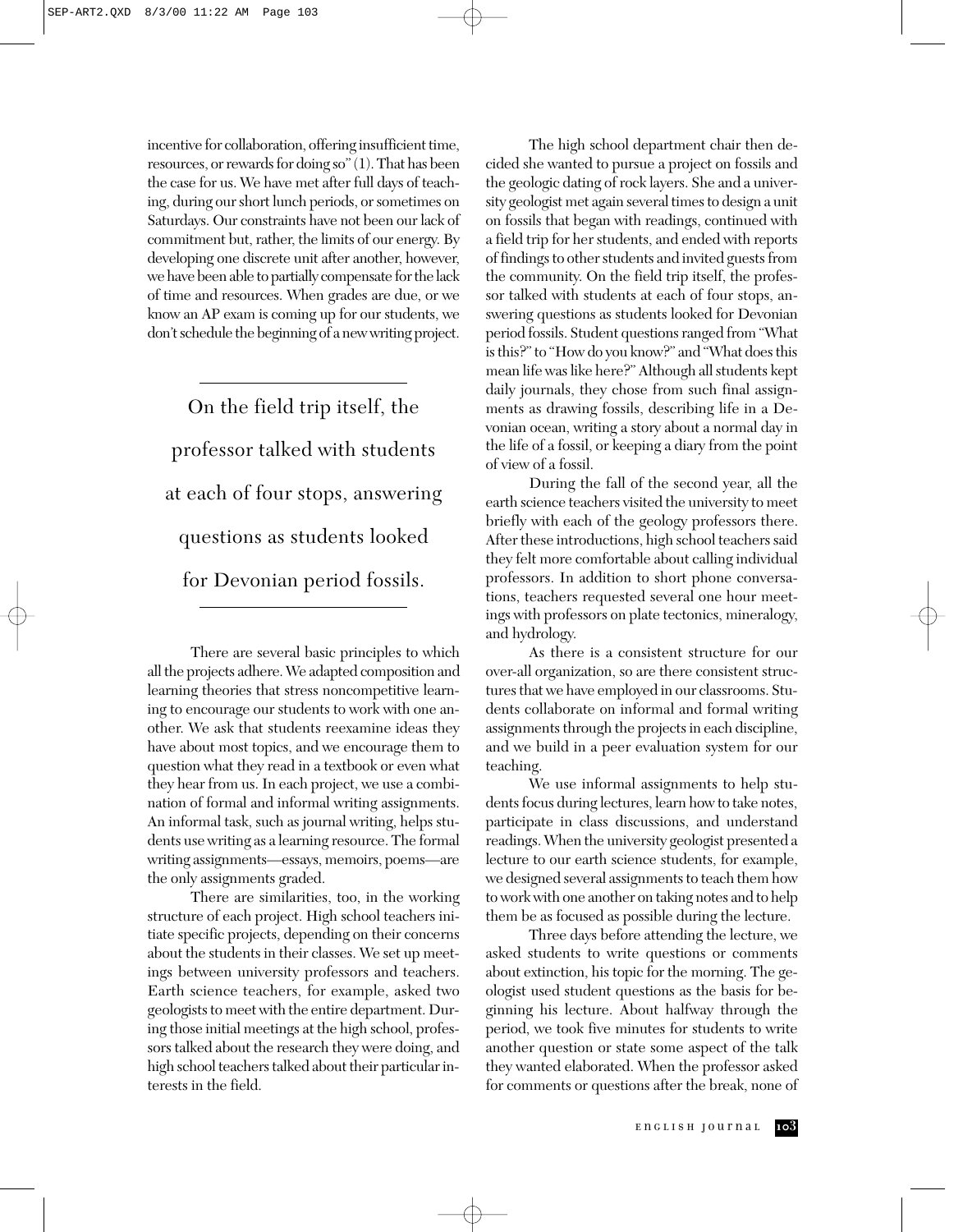incentive for collaboration, offering insufficient time, resources, or rewards for doing so" (1). That has been the case for us. We have met after full days of teaching, during our short lunch periods, or sometimes on Saturdays. Our constraints have not been our lack of commitment but, rather, the limits of our energy. By developing one discrete unit after another, however, we have been able to partially compensate for the lack of time and resources. When grades are due, or we know an AP exam is coming up for our students, we don't schedule the beginning of a new writing project.

On the field trip itself, the professor talked with students at each of four stops, answering questions as students looked for Devonian period fossils.

There are several basic principles to which all the projects adhere. We adapted composition and learning theories that stress noncompetitive learning to encourage our students to work with one another. We ask that students reexamine ideas they have about most topics, and we encourage them to question what they read in a textbook or even what they hear from us. In each project, we use a combination of formal and informal writing assignments. An informal task, such as journal writing, helps students use writing as a learning resource. The formal writing assignments—essays, memoirs, poems—are the only assignments graded.

There are similarities, too, in the working structure of each project. High school teachers initiate specific projects, depending on their concerns about the students in their classes. We set up meetings between university professors and teachers. Earth science teachers, for example, asked two geologists to meet with the entire department. During those initial meetings at the high school, professors talked about the research they were doing, and high school teachers talked about their particular interests in the field.

The high school department chair then decided she wanted to pursue a project on fossils and the geologic dating of rock layers. She and a university geologist met again several times to design a unit on fossils that began with readings, continued with a field trip for her students, and ended with reports of findings to other students and invited guests from the community. On the field trip itself, the professor talked with students at each of four stops, answering questions as students looked for Devonian period fossils. Student questions ranged from "What is this?" to "How do you know?" and "What does this mean life was like here?" Although all students kept daily journals, they chose from such final assignments as drawing fossils, describing life in a Devonian ocean, writing a story about a normal day in the life of a fossil, or keeping a diary from the point of view of a fossil.

During the fall of the second year, all the earth science teachers visited the university to meet briefly with each of the geology professors there. After these introductions, high school teachers said they felt more comfortable about calling individual professors. In addition to short phone conversations, teachers requested several one hour meetings with professors on plate tectonics, mineralogy, and hydrology.

As there is a consistent structure for our over-all organization, so are there consistent structures that we have employed in our classrooms. Students collaborate on informal and formal writing assignments through the projects in each discipline, and we build in a peer evaluation system for our teaching.

We use informal assignments to help students focus during lectures, learn how to take notes, participate in class discussions, and understand readings. When the university geologist presented a lecture to our earth science students, for example, we designed several assignments to teach them how to work with one another on taking notes and to help them be as focused as possible during the lecture.

Three days before attending the lecture, we asked students to write questions or comments about extinction, his topic for the morning. The geologist used student questions as the basis for beginning his lecture. About halfway through the period, we took five minutes for students to write another question or state some aspect of the talk they wanted elaborated. When the professor asked for comments or questions after the break, none of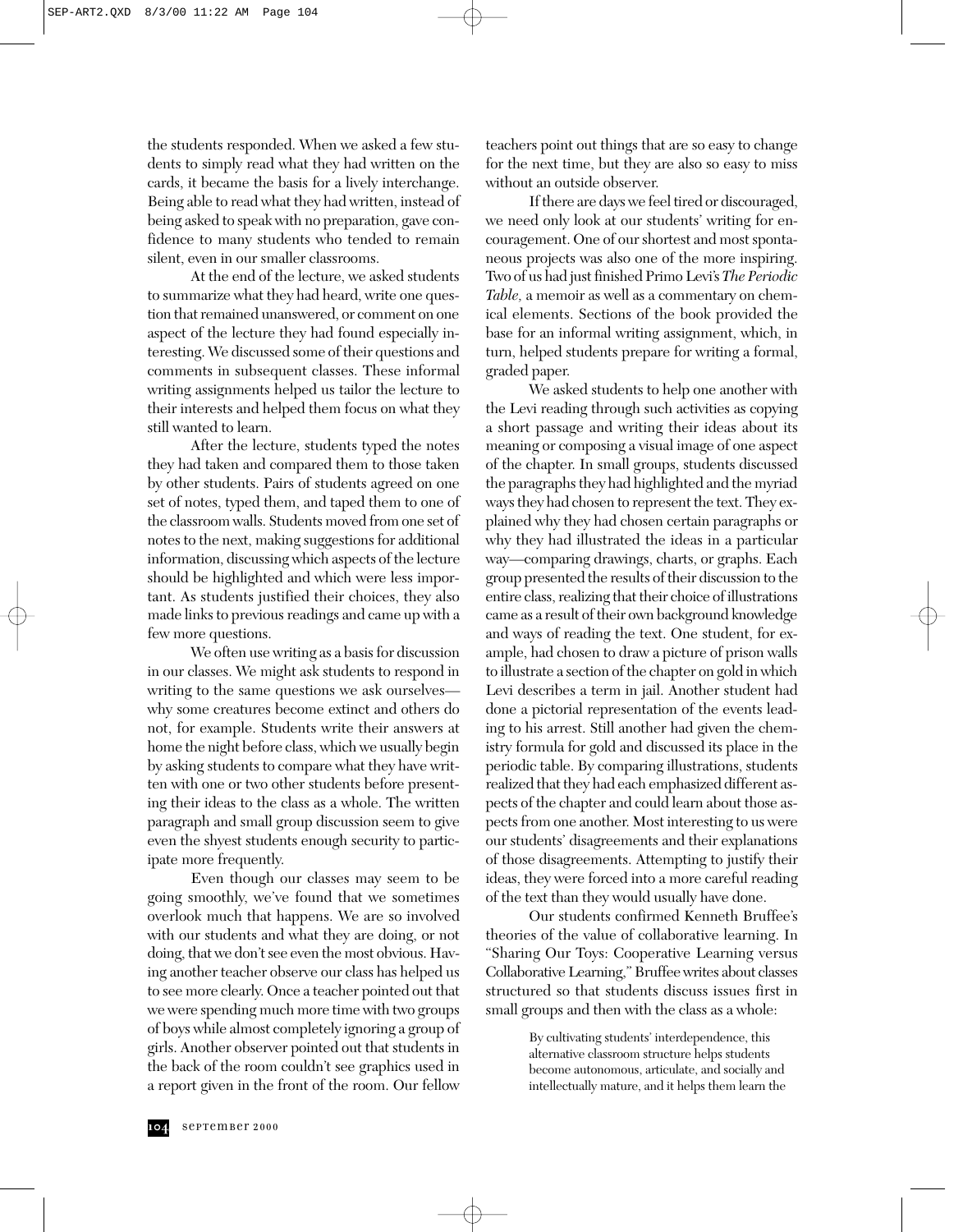the students responded. When we asked a few students to simply read what they had written on the cards, it became the basis for a lively interchange. Being able to read what they had written, instead of being asked to speak with no preparation, gave confidence to many students who tended to remain silent, even in our smaller classrooms.

At the end of the lecture, we asked students to summarize what they had heard, write one question that remained unanswered, or comment on one aspect of the lecture they had found especially interesting. We discussed some of their questions and comments in subsequent classes. These informal writing assignments helped us tailor the lecture to their interests and helped them focus on what they still wanted to learn.

After the lecture, students typed the notes they had taken and compared them to those taken by other students. Pairs of students agreed on one set of notes, typed them, and taped them to one of the classroom walls. Students moved from one set of notes to the next, making suggestions for additional information, discussing which aspects of the lecture should be highlighted and which were less important. As students justified their choices, they also made links to previous readings and came up with a few more questions.

We often use writing as a basis for discussion in our classes. We might ask students to respond in writing to the same questions we ask ourselves why some creatures become extinct and others do not, for example. Students write their answers at home the night before class, which we usually begin by asking students to compare what they have written with one or two other students before presenting their ideas to the class as a whole. The written paragraph and small group discussion seem to give even the shyest students enough security to participate more frequently.

Even though our classes may seem to be going smoothly, we've found that we sometimes overlook much that happens. We are so involved with our students and what they are doing, or not doing, that we don't see even the most obvious. Having another teacher observe our class has helped us to see more clearly. Once a teacher pointed out that we were spending much more time with two groups of boys while almost completely ignoring a group of girls. Another observer pointed out that students in the back of the room couldn't see graphics used in a report given in the front of the room. Our fellow

teachers point out things that are so easy to change for the next time, but they are also so easy to miss without an outside observer.

If there are days we feel tired or discouraged, we need only look at our students' writing for encouragement. One of our shortest and most spontaneous projects was also one of the more inspiring. Two of us had just finished Primo Levi's *The Periodic Table,* a memoir as well as a commentary on chemical elements. Sections of the book provided the base for an informal writing assignment, which, in turn, helped students prepare for writing a formal, graded paper.

We asked students to help one another with the Levi reading through such activities as copying a short passage and writing their ideas about its meaning or composing a visual image of one aspect of the chapter. In small groups, students discussed the paragraphs they had highlighted and the myriad ways they had chosen to represent the text. They explained why they had chosen certain paragraphs or why they had illustrated the ideas in a particular way—comparing drawings, charts, or graphs. Each group presented the results of their discussion to the entire class, realizing that their choice of illustrations came as a result of their own background knowledge and ways of reading the text. One student, for example, had chosen to draw a picture of prison walls to illustrate a section of the chapter on gold in which Levi describes a term in jail. Another student had done a pictorial representation of the events leading to his arrest. Still another had given the chemistry formula for gold and discussed its place in the periodic table. By comparing illustrations, students realized that they had each emphasized different aspects of the chapter and could learn about those aspects from one another. Most interesting to us were our students' disagreements and their explanations of those disagreements. Attempting to justify their ideas, they were forced into a more careful reading of the text than they would usually have done.

Our students confirmed Kenneth Bruffee's theories of the value of collaborative learning. In "Sharing Our Toys: Cooperative Learning versus Collaborative Learning," Bruffee writes about classes structured so that students discuss issues first in small groups and then with the class as a whole:

> By cultivating students' interdependence, this alternative classroom structure helps students become autonomous, articulate, and socially and intellectually mature, and it helps them learn the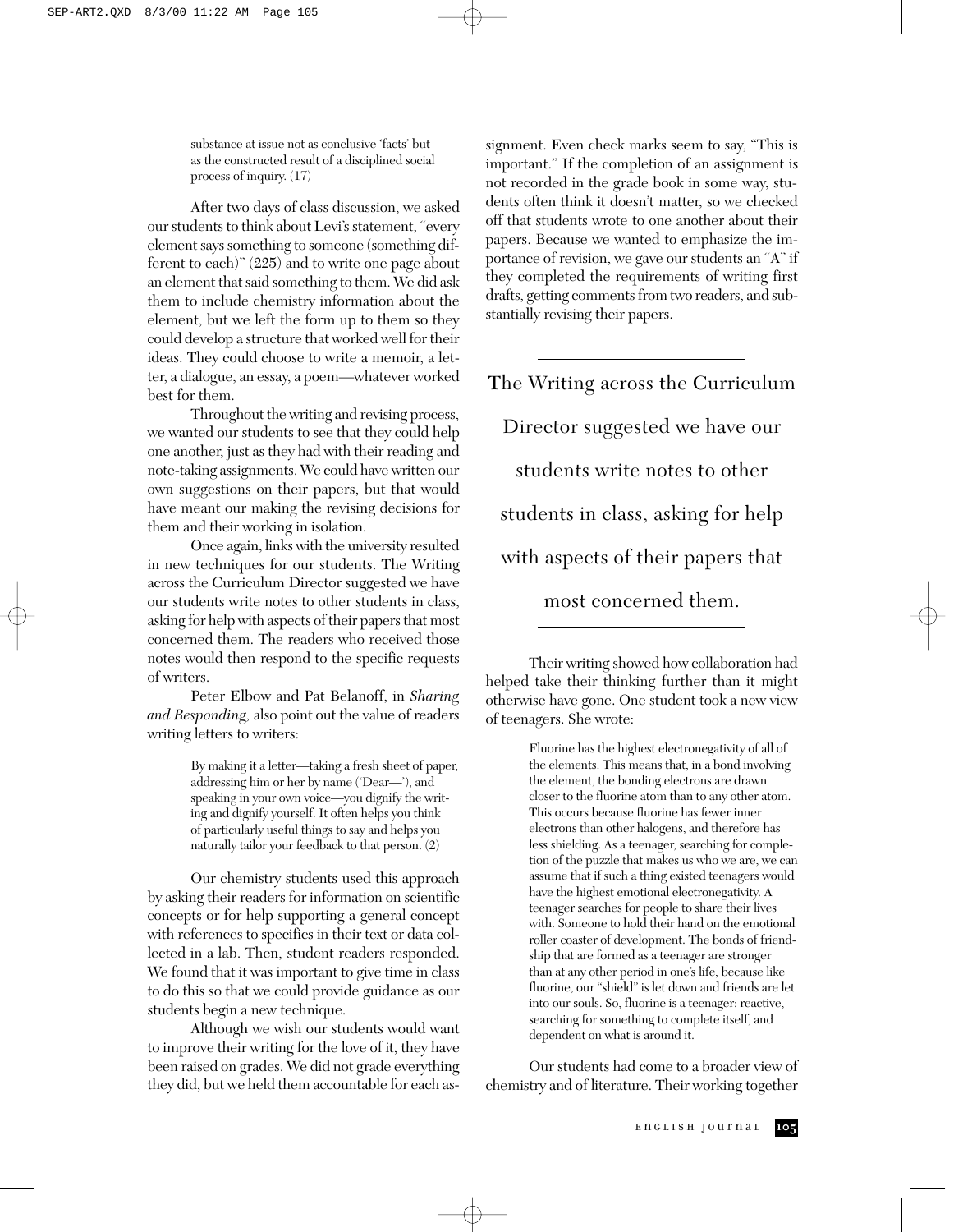substance at issue not as conclusive 'facts' but as the constructed result of a disciplined social process of inquiry. (17)

After two days of class discussion, we asked our students to think about Levi's statement, "every element says something to someone (something different to each)" (225) and to write one page about an element that said something to them. We did ask them to include chemistry information about the element, but we left the form up to them so they could develop a structure that worked well for their ideas. They could choose to write a memoir, a letter, a dialogue, an essay, a poem—whatever worked best for them.

Throughout the writing and revising process, we wanted our students to see that they could help one another, just as they had with their reading and note-taking assignments. We could have written our own suggestions on their papers, but that would have meant our making the revising decisions for them and their working in isolation.

Once again, links with the university resulted in new techniques for our students. The Writing across the Curriculum Director suggested we have our students write notes to other students in class, asking for help with aspects of their papers that most concerned them. The readers who received those notes would then respond to the specific requests of writers.

Peter Elbow and Pat Belanoff, in *Sharing and Responding,* also point out the value of readers writing letters to writers:

> By making it a letter—taking a fresh sheet of paper, addressing him or her by name ('Dear—'), and speaking in your own voice—you dignify the writing and dignify yourself. It often helps you think of particularly useful things to say and helps you naturally tailor your feedback to that person. (2)

Our chemistry students used this approach by asking their readers for information on scientific concepts or for help supporting a general concept with references to specifics in their text or data collected in a lab. Then, student readers responded. We found that it was important to give time in class to do this so that we could provide guidance as our students begin a new technique.

Although we wish our students would want to improve their writing for the love of it, they have been raised on grades. We did not grade everything they did, but we held them accountable for each assignment. Even check marks seem to say, "This is important." If the completion of an assignment is not recorded in the grade book in some way, students often think it doesn't matter, so we checked off that students wrote to one another about their papers. Because we wanted to emphasize the importance of revision, we gave our students an "A" if they completed the requirements of writing first drafts, getting comments from two readers, and substantially revising their papers.

The Writing across the Curriculum Director suggested we have our students write notes to other students in class, asking for help with aspects of their papers that most concerned them.

Their writing showed how collaboration had helped take their thinking further than it might otherwise have gone. One student took a new view of teenagers. She wrote:

> Fluorine has the highest electronegativity of all of the elements. This means that, in a bond involving the element, the bonding electrons are drawn closer to the fluorine atom than to any other atom. This occurs because fluorine has fewer inner electrons than other halogens, and therefore has less shielding. As a teenager, searching for completion of the puzzle that makes us who we are, we can assume that if such a thing existed teenagers would have the highest emotional electronegativity. A teenager searches for people to share their lives with. Someone to hold their hand on the emotional roller coaster of development. The bonds of friendship that are formed as a teenager are stronger than at any other period in one's life, because like fluorine, our "shield" is let down and friends are let into our souls. So, fluorine is a teenager: reactive, searching for something to complete itself, and dependent on what is around it.

Our students had come to a broader view of chemistry and of literature. Their working together